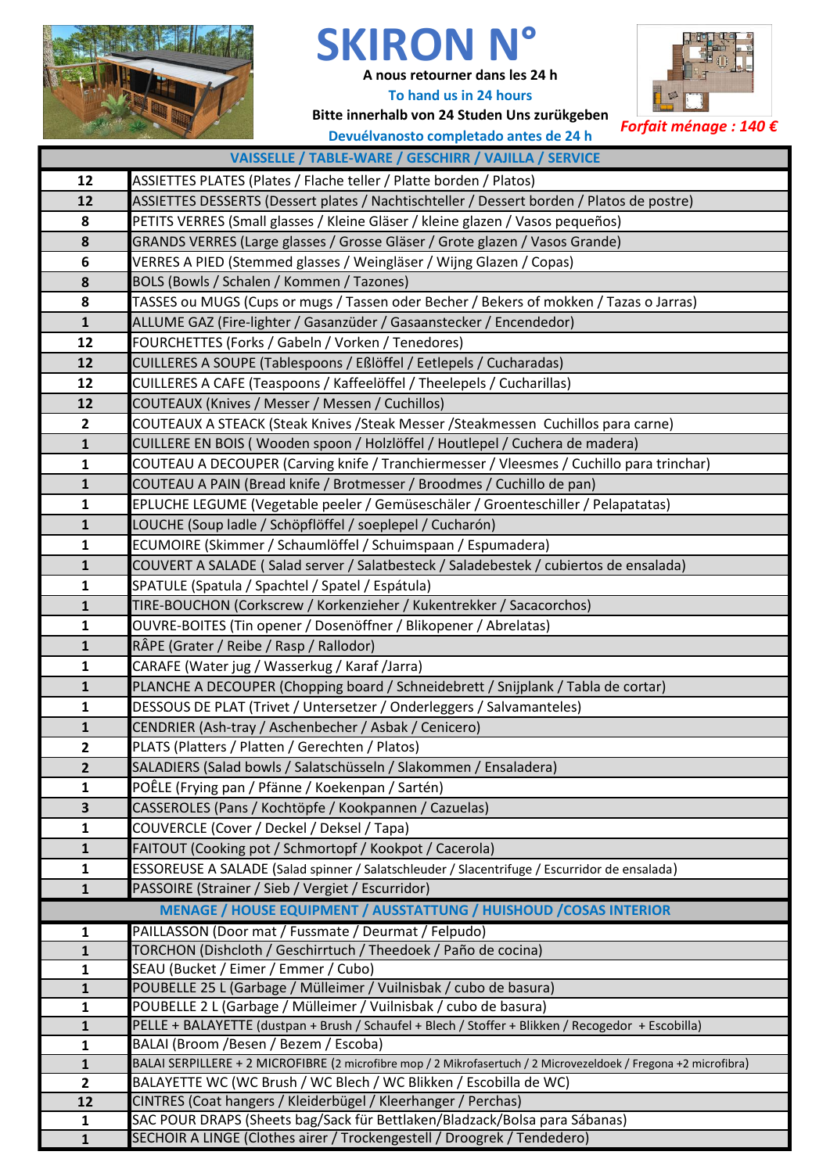

## **SKIRON N°**

**A nous retourner dans les 24 h To hand us in 24 hours**



**Bitte innerhalb von 24 Studen Uns zurükgeben** *Forfait ménage : 140 €* **Devuélvanosto completado antes de 24 h**

| VAISSELLE / TABLE-WARE / GESCHIRR / VAJILLA / SERVICE |                                                                                                                                                                        |  |  |
|-------------------------------------------------------|------------------------------------------------------------------------------------------------------------------------------------------------------------------------|--|--|
| 12                                                    | ASSIETTES PLATES (Plates / Flache teller / Platte borden / Platos)                                                                                                     |  |  |
| 12                                                    | ASSIETTES DESSERTS (Dessert plates / Nachtischteller / Dessert borden / Platos de postre)                                                                              |  |  |
| 8                                                     | PETITS VERRES (Small glasses / Kleine Gläser / kleine glazen / Vasos pequeños)                                                                                         |  |  |
| 8                                                     | GRANDS VERRES (Large glasses / Grosse Gläser / Grote glazen / Vasos Grande)                                                                                            |  |  |
| 6                                                     | VERRES A PIED (Stemmed glasses / Weingläser / Wijng Glazen / Copas)                                                                                                    |  |  |
| 8                                                     | BOLS (Bowls / Schalen / Kommen / Tazones)                                                                                                                              |  |  |
| 8                                                     | TASSES ou MUGS (Cups or mugs / Tassen oder Becher / Bekers of mokken / Tazas o Jarras)                                                                                 |  |  |
| $\mathbf{1}$                                          | ALLUME GAZ (Fire-lighter / Gasanzüder / Gasaanstecker / Encendedor)                                                                                                    |  |  |
| 12                                                    | FOURCHETTES (Forks / Gabeln / Vorken / Tenedores)                                                                                                                      |  |  |
| 12                                                    | CUILLERES A SOUPE (Tablespoons / Eßlöffel / Eetlepels / Cucharadas)                                                                                                    |  |  |
| 12                                                    | CUILLERES A CAFE (Teaspoons / Kaffeelöffel / Theelepels / Cucharillas)                                                                                                 |  |  |
| 12                                                    | COUTEAUX (Knives / Messer / Messen / Cuchillos)                                                                                                                        |  |  |
| $\overline{2}$                                        | COUTEAUX A STEACK (Steak Knives /Steak Messer /Steakmessen Cuchillos para carne)                                                                                       |  |  |
| $\mathbf{1}$                                          | CUILLERE EN BOIS (Wooden spoon / Holzlöffel / Houtlepel / Cuchera de madera)                                                                                           |  |  |
| $\mathbf{1}$                                          | COUTEAU A DECOUPER (Carving knife / Tranchiermesser / Vleesmes / Cuchillo para trinchar)                                                                               |  |  |
| $\mathbf{1}$                                          | COUTEAU A PAIN (Bread knife / Brotmesser / Broodmes / Cuchillo de pan)                                                                                                 |  |  |
| $\mathbf{1}$                                          | EPLUCHE LEGUME (Vegetable peeler / Gemüseschäler / Groenteschiller / Pelapatatas)                                                                                      |  |  |
| $\mathbf{1}$                                          | LOUCHE (Soup ladle / Schöpflöffel / soeplepel / Cucharón)                                                                                                              |  |  |
| $\mathbf{1}$                                          | ECUMOIRE (Skimmer / Schaumlöffel / Schuimspaan / Espumadera)                                                                                                           |  |  |
| $\mathbf{1}$                                          | COUVERT A SALADE (Salad server / Salatbesteck / Saladebestek / cubiertos de ensalada)                                                                                  |  |  |
| $\mathbf{1}$                                          | SPATULE (Spatula / Spachtel / Spatel / Espátula)                                                                                                                       |  |  |
| $\mathbf{1}$                                          | TIRE-BOUCHON (Corkscrew / Korkenzieher / Kukentrekker / Sacacorchos)                                                                                                   |  |  |
| $\mathbf{1}$                                          | OUVRE-BOITES (Tin opener / Dosenöffner / Blikopener / Abrelatas)                                                                                                       |  |  |
| $\mathbf{1}$                                          | RÂPE (Grater / Reibe / Rasp / Rallodor)                                                                                                                                |  |  |
| $\mathbf{1}$                                          | CARAFE (Water jug / Wasserkug / Karaf /Jarra)                                                                                                                          |  |  |
| $\mathbf{1}$                                          | PLANCHE A DECOUPER (Chopping board / Schneidebrett / Snijplank / Tabla de cortar)                                                                                      |  |  |
| $\mathbf{1}$                                          | DESSOUS DE PLAT (Trivet / Untersetzer / Onderleggers / Salvamanteles)                                                                                                  |  |  |
| $\mathbf{1}$                                          | CENDRIER (Ash-tray / Aschenbecher / Asbak / Cenicero)                                                                                                                  |  |  |
| $\mathbf{2}$                                          | PLATS (Platters / Platten / Gerechten / Platos)                                                                                                                        |  |  |
| $\overline{2}$                                        | SALADIERS (Salad bowls / Salatschüsseln / Slakommen / Ensaladera)                                                                                                      |  |  |
| $\mathbf{1}$                                          | POÊLE (Frying pan / Pfänne / Koekenpan / Sartén)                                                                                                                       |  |  |
| $\overline{\mathbf{3}}$                               | CASSEROLES (Pans / Kochtöpfe / Kookpannen / Cazuelas)                                                                                                                  |  |  |
| 1                                                     | COUVERCLE (Cover / Deckel / Deksel / Tapa)                                                                                                                             |  |  |
| $\mathbf 1$                                           | FAITOUT (Cooking pot / Schmortopf / Kookpot / Cacerola)                                                                                                                |  |  |
| $\mathbf{1}$                                          | ESSOREUSE A SALADE (Salad spinner / Salatschleuder / Slacentrifuge / Escurridor de ensalada)                                                                           |  |  |
| $\mathbf{1}$                                          | PASSOIRE (Strainer / Sieb / Vergiet / Escurridor)                                                                                                                      |  |  |
|                                                       | MENAGE / HOUSE EQUIPMENT / AUSSTATTUNG / HUISHOUD / COSAS INTERIOR                                                                                                     |  |  |
| $\mathbf 1$                                           | PAILLASSON (Door mat / Fussmate / Deurmat / Felpudo)                                                                                                                   |  |  |
| $\mathbf{1}$                                          | TORCHON (Dishcloth / Geschirrtuch / Theedoek / Paño de cocina)                                                                                                         |  |  |
| 1                                                     | SEAU (Bucket / Eimer / Emmer / Cubo)                                                                                                                                   |  |  |
| $\mathbf{1}$                                          | POUBELLE 25 L (Garbage / Mülleimer / Vuilnisbak / cubo de basura)                                                                                                      |  |  |
| $\mathbf{1}$<br>$\mathbf{1}$                          | POUBELLE 2 L (Garbage / Mülleimer / Vuilnisbak / cubo de basura)<br>PELLE + BALAYETTE (dustpan + Brush / Schaufel + Blech / Stoffer + Blikken / Recogedor + Escobilla) |  |  |
| $\mathbf{1}$                                          | BALAI (Broom /Besen / Bezem / Escoba)                                                                                                                                  |  |  |
| $\mathbf{1}$                                          | BALAI SERPILLERE + 2 MICROFIBRE (2 microfibre mop / 2 Mikrofasertuch / 2 Microvezeldoek / Fregona +2 microfibra)                                                       |  |  |
| $\overline{2}$                                        | BALAYETTE WC (WC Brush / WC Blech / WC Blikken / Escobilla de WC)                                                                                                      |  |  |
| 12                                                    | CINTRES (Coat hangers / Kleiderbügel / Kleerhanger / Perchas)                                                                                                          |  |  |
| $\mathbf{1}$                                          | SAC POUR DRAPS (Sheets bag/Sack für Bettlaken/Bladzack/Bolsa para Sábanas)                                                                                             |  |  |
| $\mathbf{1}$                                          | SECHOIR A LINGE (Clothes airer / Trockengestell / Droogrek / Tendedero)                                                                                                |  |  |